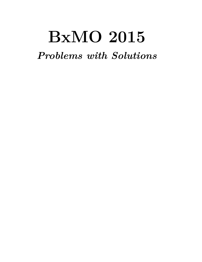# **BxMO 2015**

*Problems with Solutions*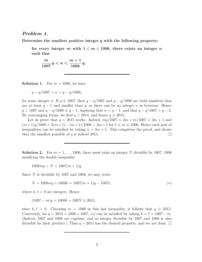### *Problem 1.*

**Determine the smallest positive integer** *q* **with the following property:**

for every integer *m* with  $1 \leq m \leq 1006$ , there exists an integer *n* **such that**

$$
\frac{m}{1007} q < n < \frac{m+1}{1008} q.
$$

**Solution 1.** For  $m = 1006$ , we have

$$
q - q/1007 < n < q - q/1008,
$$

for some integer *n*. If  $q \le 1007$ , then  $q - q/1007$  and  $q - q/1008$  are both numbers that are at least *q* − 1 and smaller than *q*, so there can be no integer *n* in between. Hence *q* > 1007 and  $q - q/1008 ≤ q - 1$ , implying that  $n < q - 1$ , and that  $q - q/1007 < q - 2$ . By rearranging terms, we find  $q > 2014$ , and hence  $q \ge 2015$ .

Let us prove that  $q = 2015$  works. Indeed,  $mq/1007 = 2m + m/1007 < 2m + 1$  and  $(m+1)q/1008 = 2(m+1)-(m+1)/1008 > 2m+1$  for  $1 \leq m \leq 1006$ . Hence each pair of inequalities can be satisfied by taking  $n = 2m + 1$ . This completes the proof, and shows that the smallest possible of *q* is indeed 2015.

**Solution 2.** For  $m = 1, \ldots, 1006$ , there must exist an integer N divisible by  $1007 \cdot 1008$ satisfying the double inequality

 $1008mq < N < 1007(m+1)q$ .

Since *N* is divisible by 1007 and 1008, we may write

 $N = 1008mq + 1008k = 1007(m + 1)q - 1007l,$  (\*)

where  $k, \ell > 0$  are integers. Hence

 $(1007 - m)q = 1008k + 1007l \geq 2015$ 

since  $k, \ell > 0$ . Choosing  $m = 1006$  in this last inequality, it follows that  $q \ge 2015$ . Conversely, for  $q = 2015 = 1008 + 1007$ , (\*) can be satisfied by taking  $k = \ell = 1007 - m$ . (Indeed, 1007 and 1008 are coprime, and so integer divisible by 1007 and 1008 is also divisible by their product.) Thus  $q = 2015$  has the desired property, and we are done.  $\Box$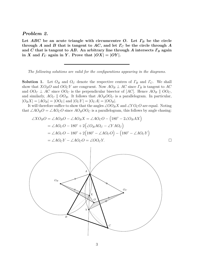#### *Problem 2.*

Let  $ABC$  be an acute triangle with circumcentre *O*. Let  $\Gamma_B$  be the circle **through** *A* **and** *B* **that is tangent to** *AC***, and let** *Γ<sup>C</sup>* **be the circle through** *A* **and** *C* **that is tangent to** *AB***. An arbitrary line through** *A* **intersects** *Γ<sup>B</sup>* **again** in *X* and  $\Gamma_C$  again in *Y*. Prove that  $|OX| = |OY|$ .

*The following solutions are valid for the configurations appearing in the diagrams.*

**Solution 1.** Let *O<sup>B</sup>* and *O<sup>C</sup>* denote the respective centres of *Γ<sup>B</sup>* and *ΓC*. We shall show that  $XO_BO$  and  $OO_CY$  are congruent. Now  $AO_B \perp AC$  since  $\Gamma_B$  is tangent to  $AC$ and  $OO_C \perp AC$  since  $OO_C$  is the perpendicular bisector of  $[AC]$ . Hence  $AO_B \parallel OO_C$ , and similarly,  $AO_C \parallel OO_B$ . It follows that  $AO_BOO_C$  is a parallelogram. In particular,  $|O_B X| = |AO_B| = |OO_C|$  and  $|O_C Y| = |O_C A| = |OO_B|$ .

It will therefore suffice to show that the angles ∠*OOBX* and ∠*Y OCO* are equal. Noting that  $\angle A O_B O = \angle A O_C O$  since  $A O_B O O_C$  is a parallelogram, this follows by angle chasing:

$$
\angle XO_BO = \angle AO_BO - \angle AO_BX = \angle AO_CO - (180^\circ - 2\angle O_BAX)
$$
  
= 
$$
\angle AO_CO - 180^\circ + 2(\angle O_BAO_C - \angle YAO_C)
$$
  
= 
$$
\angle AO_CO - 180^\circ + 2(180^\circ - \angle AO_CO) - (180^\circ - \angle AO_CY)
$$
  
= 
$$
\angle AO_CY - \angle AO_CO = \angle OO_CY.
$$

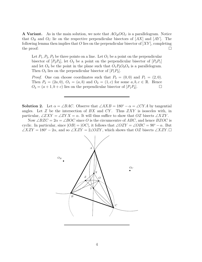**A Variant.** As in the main solution, we note that  $AO_BOO_C$  is a parallelogram. Notice that  $O_B$  and  $O_C$  lie on the respective perpendicular bisectors of  $[AX]$  and  $[AY]$ . The following lemma then implies that *O* lies on the perpendicular bisector of [*XY* ], completing the proof:  $\Box$ 

Let  $P_1, P_2, P_3$  be three points on a line. Let  $O_1$  be a point on the perpendicular bisector of  $[P_2P_3]$ , let  $O_2$  be a point on the perpendicular bisector of  $[P_3P_1]$ and let  $O_3$  be the point in the plane such that  $O_1P_3O_2O_3$  is a parallelogram. Then  $O_3$  lies on the perpendicular bisector of  $[P_1P_2]$ .

*Proof.* One can choose coordinates such that  $P_3 = (0,0)$  and  $P_1 = (2,0)$ . Then  $P_2 = (2a, 0), O_1 = (a, b)$  and  $O_2 = (1, c)$  for some  $a, b, c \in \mathbb{R}$ . Hence  $O_3 = (a+1, b+c)$  lies on the perpendicular bisector of  $[P_1P_2]$ .

**Solution 2.** Let  $\alpha = \angle BAC$ . Observe that  $\angle AXB = 180^\circ - \alpha = \angle CYA$  by tangential angles. Let *Z* be the intersection of *BX* and *CY* . Thus *ZXY* is isosceles with, in particular,  $\angle ZXY = \angle ZYX = \alpha$ . It will thus suffice to show that *OZ* bisects  $\angle XZY$ .

Now  $\angle BZC = 2\alpha = \angle BOC$  since O is the circumcentre of ABC, and hence BZOC is cyclic. In particular, since  $|OB| = |OC|$ , it follows that  $\angle OZY = \angle OBC = 90° - \alpha$ . But ∠*XZY* = 180<sup>°</sup> − 2 $\alpha$ , and so ∠*XZY* = 2∠*OZY*, which shows that *OZ* bisects ∠*XZY*.□

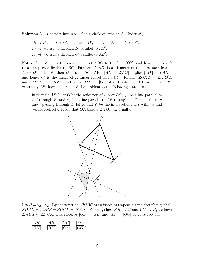**Solution 3.** Consider inversion  $\mathscr I$  in a circle centred at A. Under  $\mathscr I$ ,

 $B \mapsto B'$ ,  $C \mapsto C'$ ,  $O \mapsto O'$ ,  $X \mapsto X'$ ,  $Y \mapsto Y'$ ,  $\Gamma_B \mapsto \gamma_B$ , a line through *B*<sup>'</sup> parallel to *AC*<sup>'</sup>,  $\Gamma_C \mapsto \gamma_C$ , a line through *C*<sup>'</sup> parallel to *AB*<sup>'</sup>,

Notice that  $\mathscr I$  sends the circumcircle of *ABC* to the line *B<sup>'</sup>C'*, and hence maps *AO* to a line perpendicular to *BC*. Further, if [*AD*] is a diameter of this circumcircle and  $D \mapsto D'$  under  $\mathscr{I}$ , then *D'* lies on *BC*. Also,  $|AD| = 2|AO|$  implies  $|AO'| = 2|AD'|$ , and hence *O'* is the image of *A* under reflection in *BC*. Finally, ∠*OXA* = ∠*X'O'A* and ∠*OYA* = ∠*Y'O'A*, and hence  $|OX| = |OY|$  if and only if *O'A* bissects ∠*X'O'Y'* externally. We have thus reduced the problem to the following statement:

In triangle *ABC*, let *O* be the reflection of *A* over *BC*, *γ<sup>B</sup>* be a line parallel to *AC* through *B*, and  $\gamma_C$  be a line parallel to *AB* through *C*. For an arbitrary line  $\ell$  passing through *A*, let *X* and *Y* be the intersections of  $\ell$  with  $\gamma_B$  and *γC*, respectively. Prove that *OA* bisects ∠*XOY* externally.



Let  $P = \gamma_A \cap \gamma_B$ . By construction, *POBC* is an isosceles trapezoid (and therefore cyclic), ∠ $OBX = \angle OBP = \angle OCP = \angle OCY$ . Further, since *XB* || *AC* and *YC* || *AB*, we have  $\triangle ABX \sim \triangle YCA$ . Therefore, as  $|OB| = |AB|$  and  $|AC| = |OC|$  by construction,

$$
\frac{|OB|}{|BX|} = \frac{|AB|}{|BX|} = \frac{|YC|}{|CA|} = \frac{|YC|}{|CO|}.
$$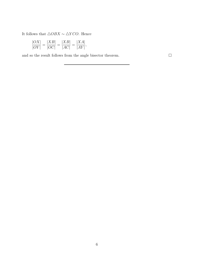It follows that  $\triangle OBX \sim \triangle YCO$ . Hence

$$
\frac{|OX|}{|OY|} = \frac{|XB|}{|OC|} = \frac{|XB|}{|AC|} = \frac{|XA|}{|AY|},
$$

and so the result follows from the angle bisector theorem.  $\hfill \Box$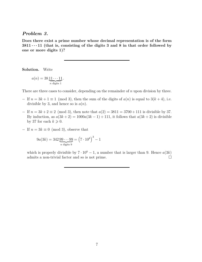## *Problem 3.*

**Does there exist a prime number whose decimal representation is of the form**  $3811 \cdot \cdot \cdot 11$  (that is, consisting of the digits 3 and 8 in that order followed by **one or more digits 1)?**

**Solution.** Write

$$
a(n) = 38 \underbrace{11 \cdots 11}_{n \text{ digits } 1}.
$$

There are three cases to consider, depending on the remainder of *n* upon division by three.

- $-$  If  $n = 3k + 1 \equiv 1 \pmod{3}$ , then the sum of the digits of  $a(n)$  is equal to  $3(k+4)$ , i.e. divisible by 3, and hence so is  $a(n)$ .
- $-$  If  $n = 3k + 2 \equiv 2 \pmod{3}$ , then note that  $a(2) = 3811 = 3700 + 111$  is divisible by 37. By induction, as  $a(3k+2) = 1000a(3k-1) + 111$ , it follows that  $a(3k+2)$  is divisible by 37 for each  $k \geqslant 0$ .
- $-$  If  $n = 3k \equiv 0 \pmod{3}$ , observe that

$$
9a(3k) = 342 \underbrace{99 \cdots 99}_{n \text{ digits } 9} = (7 \cdot 10^k)^3 - 1
$$

which is properly divisible by  $7 \cdot 10^k - 1$ , a number that is larger than 9. Hence  $a(3k)$ admits a non-trivial factor and so is not prime.  $\Box$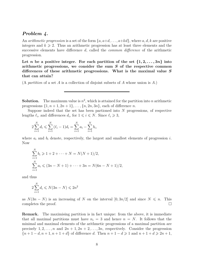## *Problem 4.*

An *arithmetic progression* is a set of the form {*a, a*+*d, . . . , a*+*kd*}, where *a, d, k* are positive integers and  $k \geqslant 2$ . Thus an arithmetic progression has at least three elements and the successive elements have difference *d*, called the *common difference* of the arithmetic progression.

Let *n* be a positive integer. For each partition of the set  $\{1, 2, \ldots, 3n\}$  into **arithmetic progressions, we consider the sum** *S* **of the respective common differences of these arithmetic progressions. What is the maximal value** *S* **that can attain?**

(A *partition* of a set *A* is a collection of disjoint subsets of *A* whose union is *A*.)

**Solution.** The maximum value is  $n^2$ , which is attained for the partition into *n* arithmetic progressions  $\{1, n+1, 2n+1\}, \ldots, \{n, 2n, 3n\}$ , each of difference *n*.

Suppose indeed that the set has been partioned into *N* progressions, of respective lengths  $\ell_i$ , and differences  $d_i$ , for  $1 \leq i \leq N$ . Since  $\ell_i \geq 3$ ,

$$
2\sum_{i=1}^{N} d_i \leqslant \sum_{i=1}^{N} (\ell_i - 1)d_i = \sum_{i=1}^{N} a_i - \sum_{i=1}^{N} b_i,
$$

where  $a_i$  and  $b_i$  denote, respectively, the largest and smallest elements of progression  $i$ . Now

$$
\sum_{i=1}^{N} b_i \geq 1 + 2 + \dots + N = N(N+1)/2,
$$
  

$$
\sum_{i=1}^{N} a_i \leq (3n - N + 1) + \dots + 3n = N(6n - N + 1)/2,
$$

and thus

$$
2\sum_{i=1}^{N} d_i \leq N(3n - N) \leq 2n^2
$$

as  $N(3n - N)$  is an increasing of N on the interval  $[0, 3n/2]$  and since  $N \leq n$ . This completes the proof.

**Remark.** The maximising partition is in fact unique: from the above, it is immediate that all maximal partitions must have  $n<sub>i</sub> = 3$  and hence  $n = N$ . It follows that the minimal and maximal elements of the arithmetic progressions of a maximal partition are precisely  $1, 2, \ldots, n$  and  $2n + 1, 2n + 2, \ldots, 3n$ , respectively. Consider the progression  ${n+1-d, n+1, n+1+d}$  of difference *d*. Then  $n+1-d \geq 1$  and  $n+1+d \geq 2n+1$ ,